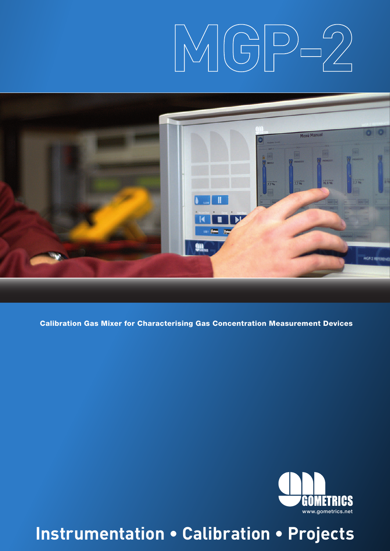# $MGP-2$



Calibration Gas Mixer for Characterising Gas Concentration Measurement Devices



**Instrumentation • Calibration • Projects**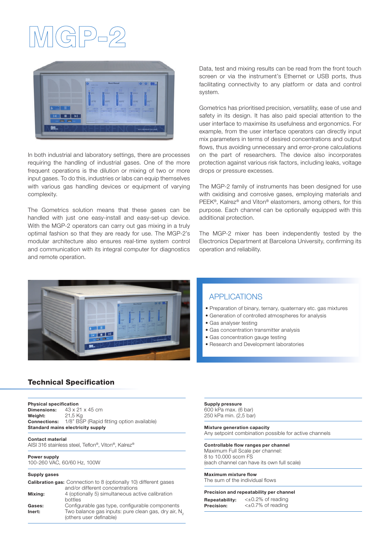### 위의



In both industrial and laboratory settings, there are processes requiring the handling of industrial gases. One of the more frequent operations is the dilution or mixing of two or more input gases. To do this, industries or labs can equip themselves with various gas handling devices or equipment of varying complexity.

The Gometrics solution means that these gases can be handled with just one easy-install and easy-set-up device. With the MGP-2 operators can carry out gas mixing in a truly optimal fashion so that they are ready for use. The MGP-2's modular architecture also ensures real-time system control and communication with its integral computer for diagnostics and remote operation.

Data, test and mixing results can be read from the front touch screen or via the instrument's Ethernet or USB ports, thus facilitating connectivity to any platform or data and control system.

Gometrics has prioritised precision, versatility, ease of use and safety in its design. It has also paid special attention to the user interface to maximise its usefulness and ergonomics. For example, from the user interface operators can directly input mix parameters in terms of desired concentrations and output flows, thus avoiding unnecessary and error-prone calculations on the part of researchers. The device also incorporates protection against various risk factors, including leaks, voltage drops or pressure excesses.

The MGP-2 family of instruments has been designed for use with oxidising and corrosive gases, employing materials and PEEK®, Kalrez® and Viton® elastomers, among others, for this purpose. Each channel can be optionally equipped with this additional protection.

The MGP-2 mixer has been independently tested by the Electronics Department at Barcelona University, confirming its operation and reliability.



#### APPLICATIONS

- Preparation of binary, ternary, quaternary etc. gas mixtures
- Generation of controlled atmospheres for analysis
- Gas analyser testing
- Gas concentration transmitter analysis
- Gas concentration gauge testing
- Research and Development laboratories

#### Technical Specification

#### Physical specification

Dimensions: 43 x 21 x 45 cm Weight: 21,5 Kg Connections: 1/8" BSP (Rapid fitting option available) Standard mains electricity supply

Contact material

AISI 316 stainless steel, Teflon®, Viton®, Kalrez®

#### Power supply

100-260 VAC, 60/60 Hz, 100W

#### Supply gases

|         | <b>Calibration gas:</b> Connection to 8 (optionally 10) different gases                    |
|---------|--------------------------------------------------------------------------------------------|
|         | and/or different concentrations                                                            |
| Mixing: | 4 (optionally 5) simultaneous active calibration                                           |
|         | bottles                                                                                    |
| Gases:  | Configurable gas type, configurable components                                             |
| Inert:  | Two balance gas inputs: pure clean gas, dry air, N <sub>2</sub><br>(others user definable) |

Supply pressure 600 kPa max. (6 bar) 250 kPa min. (2,5 bar)

#### Mixture generation capacity

Any setpoint combination possible for active channels

#### Controllable flow ranges per channel

Maximum Full Scale per channel: 8 to 10.000 sccm FS (each channel can have its own full scale)

#### Maximum mixture flow The sum of the individual flows

#### Precision and repeatability per channel

Repeatability: <±0.2% of reading Precision: < $\pm 0.7\%$  of reading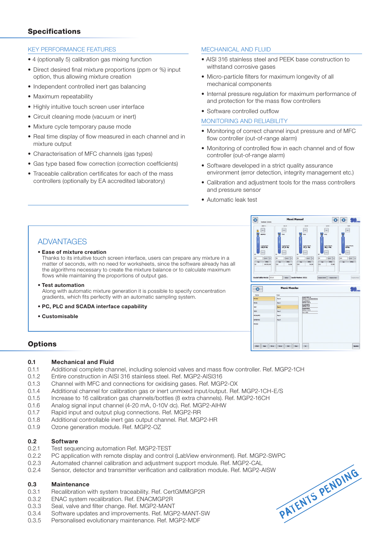#### **Specifications**

#### KEY PERFORMANCE FEATURES

- 4 (optionally 5) calibration gas mixing function
- Direct desired final mixture proportions (ppm or %) input option, thus allowing mixture creation
- Independent controlled inert gas balancing
- Maximum repeatability
- Highly intuitive touch screen user interface
- Circuit cleaning mode (vacuum or inert)
- Mixture cycle temporary pause mode
- Real time display of flow measured in each channel and in mixture output
- Characterisation of MFC channels (gas types)
- Gas type based flow correction (correction coefficients)
- Traceable calibration certificates for each of the mass controllers (optionally by EA accredited laboratory)

#### MECHANICAL AND FLUID

- AISI 316 stainless steel and PEEK base construction to withstand corrosive gases
- Micro-particle filters for maximum longevity of all mechanical components
- Internal pressure regulation for maximum performance of and protection for the mass flow controllers
- Software controlled outflow

#### MONITORING AND RELIABILITY

- Monitoring of correct channel input pressure and of MFC flow controller (out-of-range alarm)
- Monitoring of controlled flow in each channel and of flow controller (out-of-range alarm)
- Software developed in a strict quality assurance environment (error detection, integrity management etc.)
- Calibration and adjustment tools for the mass controllers and pressure sensor
- Automatic leak test

a

 $\overline{\bullet}$ 

#### ADVANTAGES

#### • Ease of mixture creation

Thanks to its intuitive touch screen interface, users can prepare any mixture in a matter of seconds, with no need for worksheets, since the software already has all the algorithms necessary to create the mixture balance or to calculate maximum flows while maintaining the proportions of output gas.

• Test automation

Along with automatic mixture generation it is possible to specify concentration gradients, which fits perfectly with an automatic sampling system.

- PC, PLC and SCADA interface capability
- Customisable

## $\bullet$ Menú Mezcla

the same said the same said the

 $\cdot$ 

 $\frac{1}{27.1}$ 

 $\bullet$  $\bullet$ **GM** 

 $\overline{\phantom{a}}$ 

#### **Options**

#### 0.1 Mechanical and Fluid

- 0.1.1 Additional complete channel, including solenoid valves and mass flow controller. Ref. MGP2-1CH
- 0.1.2 Entire construction in AISI 316 stainless steel. Ref. MGP2-AISI316
- 0.1.3 Channel with MFC and connections for oxidising gases. Ref. MGP2-OX
- 0.1.4 Additional channel for calibration gas or inert unmixed input/output. Ref. MGP2-1CH-E/S
- 0.1.5 Increase to 16 calibration gas channels/bottles (8 extra channels). Ref. MGP2-16CH
- 0.1.6 Analog signal input channel (4-20 mA, 0-10V dc). Ref. MGP2-AIHW
- 0.1.7 Rapid input and output plug connections. Ref. MGP2-RR
- 0.1.8 Additional controllable inert gas output channel. Ref. MGP2-HR<br>0.1.9 Ozone generation module. Ref. MGP2-OZ
- Ozone generation module. Ref. MGP2-OZ

#### 0.2 Software

- 0.2.1 Test sequencing automation Ref. MGP2-TEST
- 0.2.2 PC application with remote display and control (LabView environment). Ref. MGP2-SWPC
- 0.2.3 Automated channel calibration and adjustment support module. Ref. MGP2-CAL
- 0.2.4 Sensor, detector and transmitter verification and calibration module. Ref. MGP2-AISW

#### 0.3 Maintenance

- 0.3.1 Recalibration with system traceability. Ref. CertGMMGP2R
- 0.3.2 ENAC system recalibration. Ref. ENACMGP2R
- 0.3.3 Seal, valve and filter change. Ref. MGP2-MANT
- 0.3.4 Software updates and improvements. Ref. MGP2-MANT-SW
- 0.3.5 Personalised evolutionary maintenance. Ref. MGP2-MDF